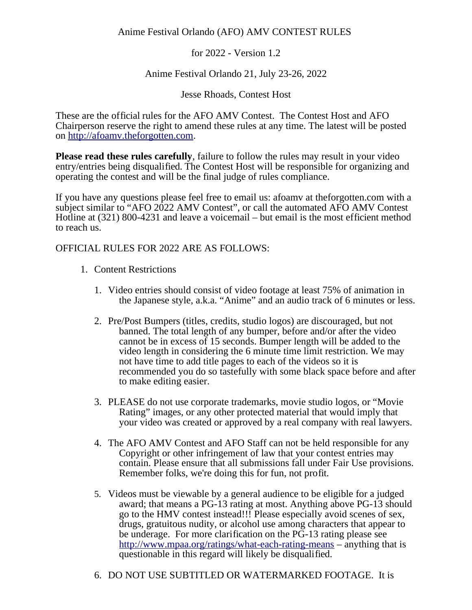for 2022 - Version 1.2

## Anime Festival Orlando 21, July 23-26, 2022

Jesse Rhoads, Contest Host

These are the official rules for the AFO AMV Contest. The Contest Host and AFO Chairperson reserve the right to amend these rules at any time. The latest will be posted on [http://afoamv.theforgotten.com.](http://afoamv.theforgotten.com/)

**Please read these rules carefully**, failure to follow the rules may result in your video entry/entries being disqualified. The Contest Host will be responsible for organizing and operating the contest and will be the final judge of rules compliance.

If you have any questions please feel free to email us: afoamv at theforgotten.com with a subject similar to "AFO 2022 AMV Contest", or call the automated AFO AMV Contest Hotline at (321) 800-4231 and leave a voicemail – but email is the most efficient method to reach us.

# OFFICIAL RULES FOR 2022 ARE AS FOLLOWS:

- 1. Content Restrictions
	- 1. Video entries should consist of video footage at least 75% of animation in the Japanese style, a.k.a. "Anime" and an audio track of 6 minutes or less.
	- 2. Pre/Post Bumpers (titles, credits, studio logos) are discouraged, but not banned. The total length of any bumper, before and/or after the video cannot be in excess of 15 seconds. Bumper length will be added to the video length in considering the 6 minute time limit restriction. We may not have time to add title pages to each of the videos so it is recommended you do so tastefully with some black space before and after to make editing easier.
	- 3. PLEASE do not use corporate trademarks, movie studio logos, or "Movie Rating" images, or any other protected material that would imply that your video was created or approved by a real company with real lawyers.
	- 4. The AFO AMV Contest and AFO Staff can not be held responsible for any Copyright or other infringement of law that your contest entries may contain. Please ensure that all submissions fall under Fair Use provisions. Remember folks, we're doing this for fun, not profit.
	- 5. Videos must be viewable by a general audience to be eligible for a judged award; that means a PG-13 rating at most. Anything above PG-13 should go to the HMV contest instead!!! Please especially avoid scenes of sex, drugs, gratuitous nudity, or alcohol use among characters that appear to be underage. For more clarification on the PG-13 rating please see <http://www.mpaa.org/ratings/what-each-rating-means>– anything that is questionable in this regard will likely be disqualified.
	- 6. DO NOT USE SUBTITLED OR WATERMARKED FOOTAGE. It is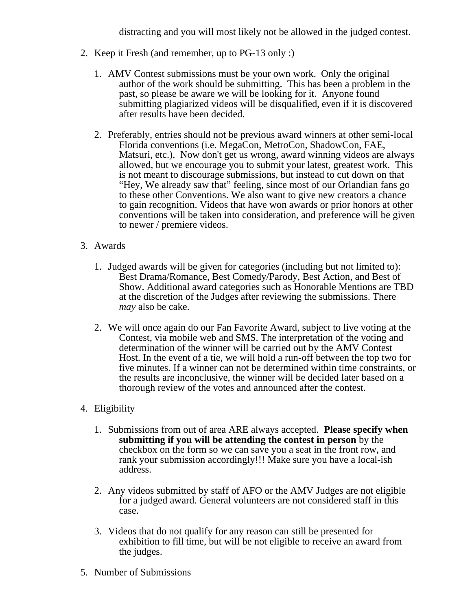distracting and you will most likely not be allowed in the judged contest.

- 2. Keep it Fresh (and remember, up to PG-13 only :)
	- 1. AMV Contest submissions must be your own work. Only the original author of the work should be submitting. This has been a problem in the past, so please be aware we will be looking for it. Anyone found submitting plagiarized videos will be disqualified, even if it is discovered after results have been decided.
	- 2. Preferably, entries should not be previous award winners at other semi-local Florida conventions (i.e. MegaCon, MetroCon, ShadowCon, FAE, Matsuri, etc.). Now don't get us wrong, award winning videos are always allowed, but we encourage you to submit your latest, greatest work. This is not meant to discourage submissions, but instead to cut down on that "Hey, We already saw that" feeling, since most of our Orlandian fans go to these other Conventions. We also want to give new creators a chance to gain recognition. Videos that have won awards or prior honors at other conventions will be taken into consideration, and preference will be given to newer / premiere videos.
- 3. Awards
	- 1. Judged awards will be given for categories (including but not limited to): Best Drama/Romance, Best Comedy/Parody, Best Action, and Best of Show. Additional award categories such as Honorable Mentions are TBD at the discretion of the Judges after reviewing the submissions. There *may* also be cake.
	- 2. We will once again do our Fan Favorite Award, subject to live voting at the Contest, via mobile web and SMS. The interpretation of the voting and determination of the winner will be carried out by the AMV Contest Host. In the event of a tie, we will hold a run-off between the top two for five minutes. If a winner can not be determined within time constraints, or the results are inconclusive, the winner will be decided later based on a thorough review of the votes and announced after the contest.
- 4. Eligibility
	- 1. Submissions from out of area ARE always accepted. **Please specify when submitting if you will be attending the contest in person** by the checkbox on the form so we can save you a seat in the front row, and rank your submission accordingly!!! Make sure you have a local-ish address.
	- 2. Any videos submitted by staff of AFO or the AMV Judges are not eligible for a judged award. General volunteers are not considered staff in this case.
	- 3. Videos that do not qualify for any reason can still be presented for exhibition to fill time, but will be not eligible to receive an award from the judges.
- 5. Number of Submissions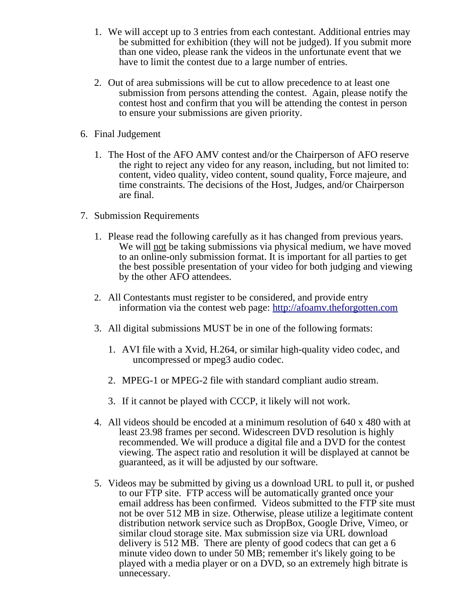- 1. We will accept up to 3 entries from each contestant. Additional entries may be submitted for exhibition (they will not be judged). If you submit more than one video, please rank the videos in the unfortunate event that we have to limit the contest due to a large number of entries.
- 2. Out of area submissions will be cut to allow precedence to at least one submission from persons attending the contest. Again, please notify the contest host and confirm that you will be attending the contest in person to ensure your submissions are given priority.
- 6. Final Judgement
	- 1. The Host of the AFO AMV contest and/or the Chairperson of AFO reserve the right to reject any video for any reason, including, but not limited to: content, video quality, video content, sound quality, Force majeure, and time constraints. The decisions of the Host, Judges, and/or Chairperson are final.
- 7. Submission Requirements
	- 1. Please read the following carefully as it has changed from previous years. We will not be taking submissions via physical medium, we have moved to an online-only submission format. It is important for all parties to get the best possible presentation of your video for both judging and viewing by the other AFO attendees.
	- 2. All Contestants must register to be considered, and provide entry information via the contest web page: [http://afoamv.theforgotten.com](http://afoamv.theforgotten.com/)
	- 3. All digital submissions MUST be in one of the following formats:
		- 1. AVI file with a Xvid, H.264, or similar high-quality video codec, and uncompressed or mpeg3 audio codec.
		- 2. MPEG-1 or MPEG-2 file with standard compliant audio stream.
		- 3. If it cannot be played with CCCP, it likely will not work.
	- 4. All videos should be encoded at a minimum resolution of 640 x 480 with at least 23.98 frames per second. Widescreen DVD resolution is highly recommended. We will produce a digital file and a DVD for the contest viewing. The aspect ratio and resolution it will be displayed at cannot be guaranteed, as it will be adjusted by our software.
	- 5. Videos may be submitted by giving us a download URL to pull it, or pushed to our FTP site. FTP access will be automatically granted once your email address has been confirmed. Videos submitted to the FTP site must not be over 512 MB in size. Otherwise, please utilize a legitimate content distribution network service such as DropBox, Google Drive, Vimeo, or similar cloud storage site. Max submission size via URL download delivery is 512 MB. There are plenty of good codecs that can get a 6 minute video down to under 50 MB; remember it's likely going to be played with a media player or on a DVD, so an extremely high bitrate is unnecessary.